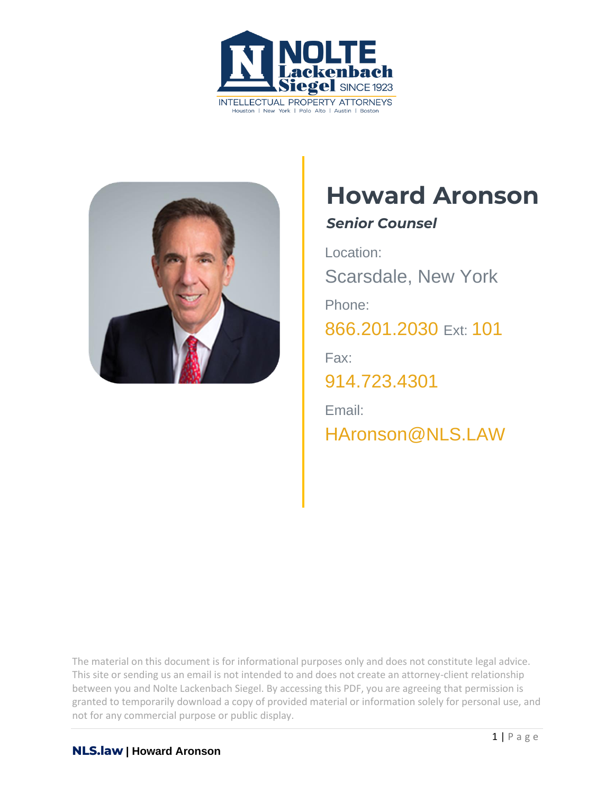



# **Howard Aronson**

## *Senior Counsel*

Location: Scarsdale, New York Phone: 866.201.2030 Ext: 101 Fax: 914.723.4301 Email: [HAronson@](mailto:haronson@nls.law)NLS[.LAW](mailto:haronson@nls.law)

The material on this document is for informational purposes only and does not constitute legal advice. This site or sending us an email is not intended to and does not create an attorney-client relationship between you and Nolte Lackenbach Siegel. By accessing this PDF, you are agreeing that permission is granted to temporarily download a copy of provided material or information solely for personal use, and not for any commercial purpose or public display.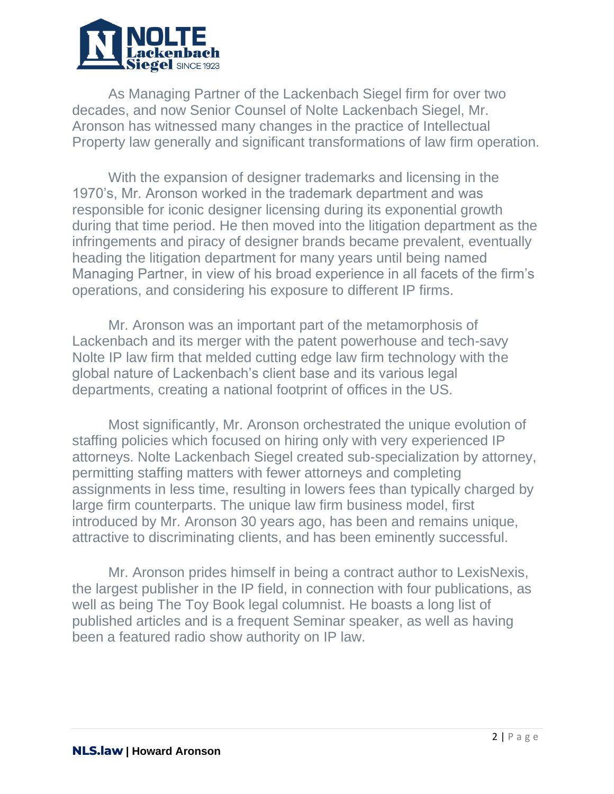

As Managing Partner of the Lackenbach Siegel firm for over two decades, and now Senior Counsel of Nolte Lackenbach Siegel, Mr. Aronson has witnessed many changes in the practice of Intellectual Property law generally and significant transformations of law firm operation.

With the expansion of designer trademarks and licensing in the 1970's, Mr. Aronson worked in the trademark department and was responsible for iconic designer licensing during its exponential growth during that time period. He then moved into the litigation department as the infringements and piracy of designer brands became prevalent, eventually heading the litigation department for many years until being named Managing Partner, in view of his broad experience in all facets of the firm's operations, and considering his exposure to different IP firms.

Mr. Aronson was an important part of the metamorphosis of Lackenbach and its merger with the patent powerhouse and tech-savy Nolte IP law firm that melded cutting edge law firm technology with the global nature of Lackenbach's client base and its various legal departments, creating a national footprint of offices in the US.

Most significantly, Mr. Aronson orchestrated the unique evolution of staffing policies which focused on hiring only with very experienced IP attorneys. Nolte Lackenbach Siegel created sub-specialization by attorney, permitting staffing matters with fewer attorneys and completing assignments in less time, resulting in lowers fees than typically charged by large firm counterparts. The unique law firm business model, first introduced by Mr. Aronson 30 years ago, has been and remains unique, attractive to discriminating clients, and has been eminently successful.

Mr. Aronson prides himself in being a contract author to LexisNexis, the largest publisher in the IP field, in connection with four publications, as well as being The Toy Book legal columnist. He boasts a long list of published articles and is a frequent Seminar speaker, as well as having been a featured radio show authority on IP law.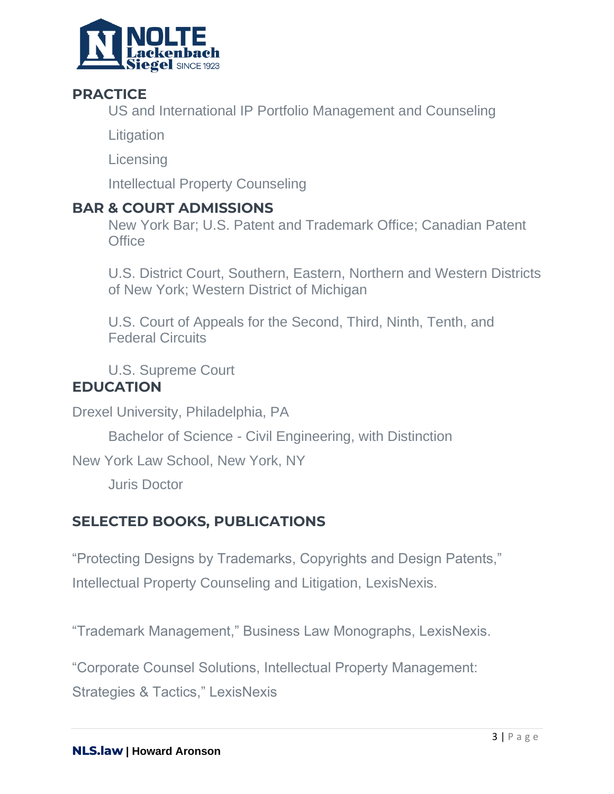

## **PRACTICE**

US and International IP Portfolio Management and Counseling

**Litigation** 

**Licensing** 

Intellectual Property Counseling

#### **BAR & COURT ADMISSIONS**

New York Bar; U.S. Patent and Trademark Office; Canadian Patent **Office** 

U.S. District Court, Southern, Eastern, Northern and Western Districts of New York; Western District of Michigan

U.S. Court of Appeals for the Second, Third, Ninth, Tenth, and Federal Circuits

U.S. Supreme Court

#### **EDUCATION**

Drexel University, Philadelphia, PA

Bachelor of Science - Civil Engineering, with Distinction

New York Law School, New York, NY

Juris Doctor

## **SELECTED BOOKS, PUBLICATIONS**

"Protecting Designs by Trademarks, Copyrights and Design Patents," Intellectual Property Counseling and Litigation, LexisNexis.

"Trademark Management," Business Law Monographs, LexisNexis.

"Corporate Counsel Solutions, Intellectual Property Management:

Strategies & Tactics," LexisNexis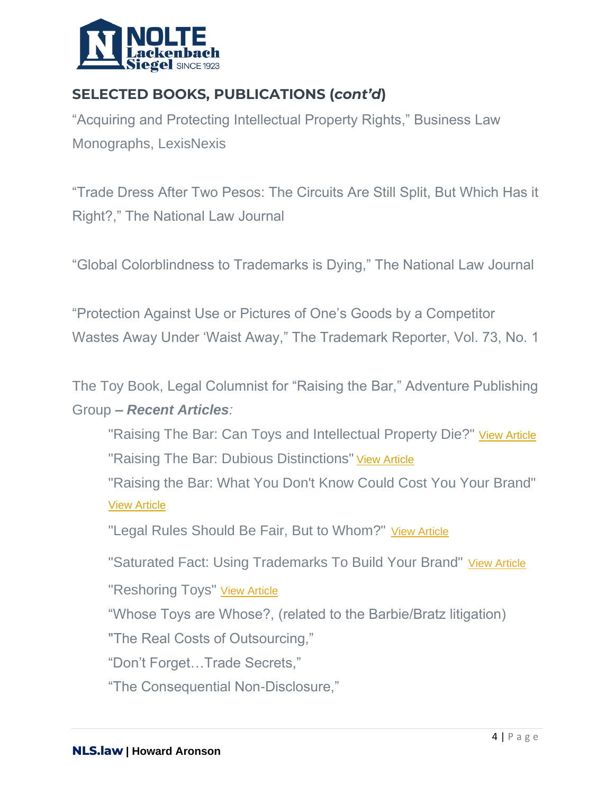

# **SELECTED BOOKS, PUBLICATIONS (***cont'd***)**

"Acquiring and Protecting Intellectual Property Rights," Business Law Monographs, LexisNexis

"Trade Dress After Two Pesos: The Circuits Are Still Split, But Which Has it Right?," The National Law Journal

"Global Colorblindness to Trademarks is Dying," The National Law Journal

"Protection Against Use or Pictures of One's Goods by a Competitor Wastes Away Under 'Waist Away," The Trademark Reporter, Vol. 73, No. 1

The Toy Book, Legal Columnist for "Raising the Bar," Adventure Publishing Group **–** *Recent Articles:*

"Raising The Bar: Can Toys and Intellectual Property Die?" [View Article](https://toybook.com/raising-the-bar-can-toys-and-intellectual-property-die/) "Raising The Bar: Dubious Distinctions" [View Article](https://toybook.com/raising-the-bar-dubious-distinctions/)

"Raising the Bar: What You Don't Know Could Cost You Your Brand" [View Article](https://toybook.com/raising-the-bar-what-you-dont-know-could-cost-you-your-brand/)

"Legal Rules Should Be Fair, But to Whom?" [View Article](https://toybook.com/legal-rules-should-be-fair-but-to-whom/)

["Saturated Fact: Using Trademarks To Build Your Brand"](https://toybook.com/saturated-fact-using-trademarks-to-build-your-brand/) [View Article](https://toybook.com/saturated-fact-using-trademarks-to-build-your-brand/)

["Reshoring Toys"](https://toybook.com/reshoring-toys-knex/) [View Article](https://toybook.com/reshoring-toys-knex/)

"Whose Toys are Whose?, (related to the Barbie/Bratz litigation)

"The Real Costs of Outsourcing,"

"Don't Forget…Trade Secrets,"

"The Consequential Non-Disclosure,"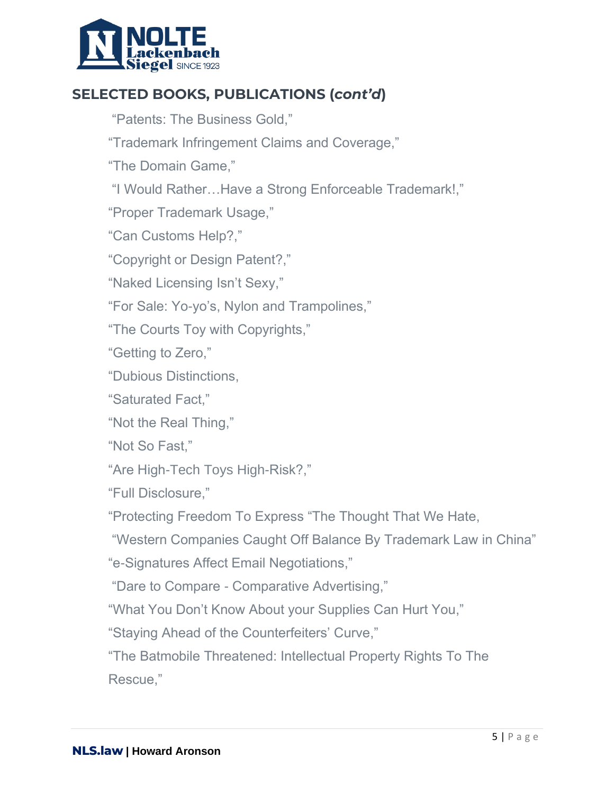

# **SELECTED BOOKS, PUBLICATIONS (***cont'd***)**

"Patents: The Business Gold,"

"Trademark Infringement Claims and Coverage,"

"The Domain Game,"

"I Would Rather…Have a Strong Enforceable Trademark!,"

"Proper Trademark Usage,"

"Can Customs Help?,"

"Copyright or Design Patent?,"

"Naked Licensing Isn't Sexy,"

"For Sale: Yo-yo's, Nylon and Trampolines,"

"The Courts Toy with Copyrights,"

"Getting to Zero,"

"Dubious Distinctions,

"Saturated Fact,"

"Not the Real Thing,"

"Not So Fast,"

"Are High-Tech Toys High-Risk?,"

"Full Disclosure,"

"Protecting Freedom To Express "The Thought That We Hate,

"Western Companies Caught Off Balance By Trademark Law in China"

"e-Signatures Affect Email Negotiations,"

"Dare to Compare - Comparative Advertising,"

"What You Don't Know About your Supplies Can Hurt You,"

"Staying Ahead of the Counterfeiters' Curve,"

"The Batmobile Threatened: Intellectual Property Rights To The Rescue,"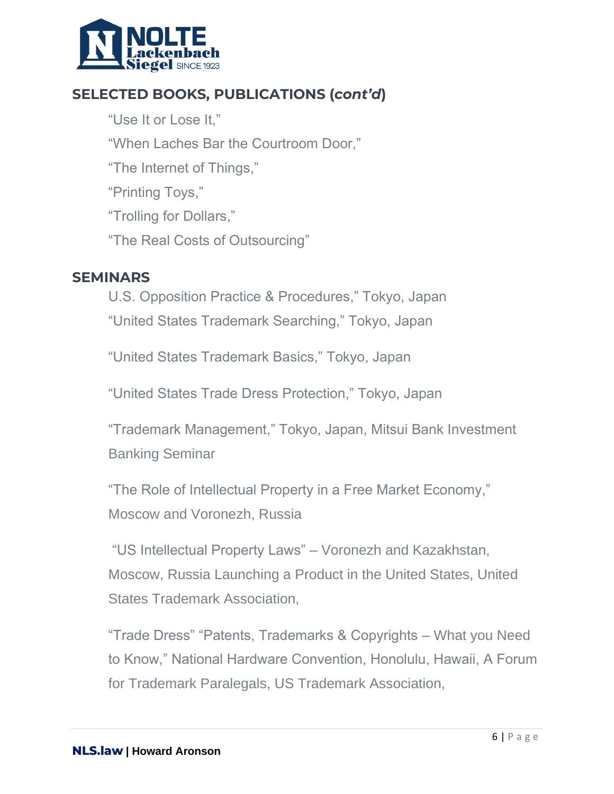

## **SELECTED BOOKS, PUBLICATIONS (***cont'd***)**

"Use It or Lose It," "When Laches Bar the Courtroom Door," "The Internet of Things," "Printing Toys," "Trolling for Dollars," "The Real Costs of Outsourcing"

#### **SEMINARS**

U.S. Opposition Practice & Procedures," Tokyo, Japan "United States Trademark Searching," Tokyo, Japan

"United States Trademark Basics," Tokyo, Japan

"United States Trade Dress Protection," Tokyo, Japan

"Trademark Management," Tokyo, Japan, Mitsui Bank Investment Banking Seminar

"The Role of Intellectual Property in a Free Market Economy," Moscow and Voronezh, Russia

"US Intellectual Property Laws" – Voronezh and Kazakhstan, Moscow, Russia Launching a Product in the United States, United States Trademark Association,

"Trade Dress" "Patents, Trademarks & Copyrights – What you Need to Know," National Hardware Convention, Honolulu, Hawaii, A Forum for Trademark Paralegals, US Trademark Association,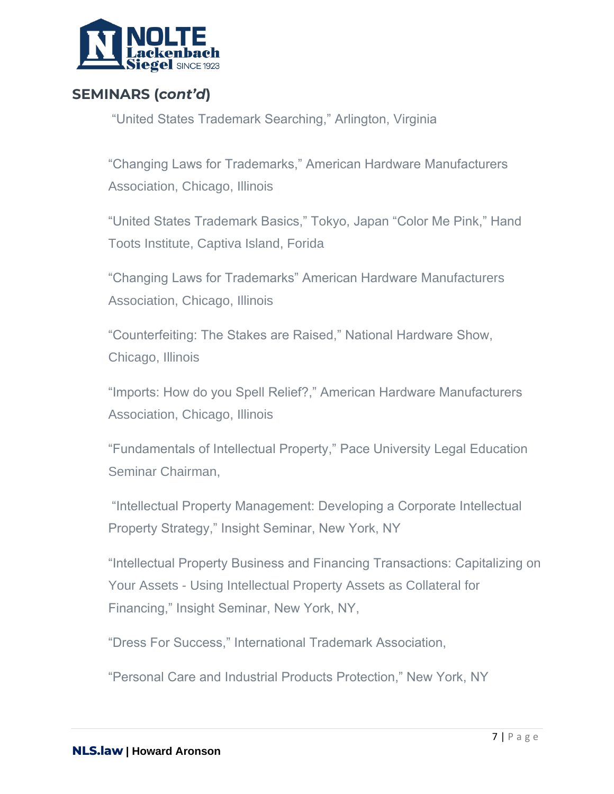

## **SEMINARS (***cont'd***)**

"United States Trademark Searching," Arlington, Virginia

"Changing Laws for Trademarks," American Hardware Manufacturers Association, Chicago, Illinois

"United States Trademark Basics," Tokyo, Japan "Color Me Pink," Hand Toots Institute, Captiva Island, Forida

"Changing Laws for Trademarks" American Hardware Manufacturers Association, Chicago, Illinois

"Counterfeiting: The Stakes are Raised," National Hardware Show, Chicago, Illinois

"Imports: How do you Spell Relief?," American Hardware Manufacturers Association, Chicago, Illinois

"Fundamentals of Intellectual Property," Pace University Legal Education Seminar Chairman,

"Intellectual Property Management: Developing a Corporate Intellectual Property Strategy," Insight Seminar, New York, NY

"Intellectual Property Business and Financing Transactions: Capitalizing on Your Assets - Using Intellectual Property Assets as Collateral for Financing," Insight Seminar, New York, NY,

"Dress For Success," International Trademark Association,

"Personal Care and Industrial Products Protection," New York, NY